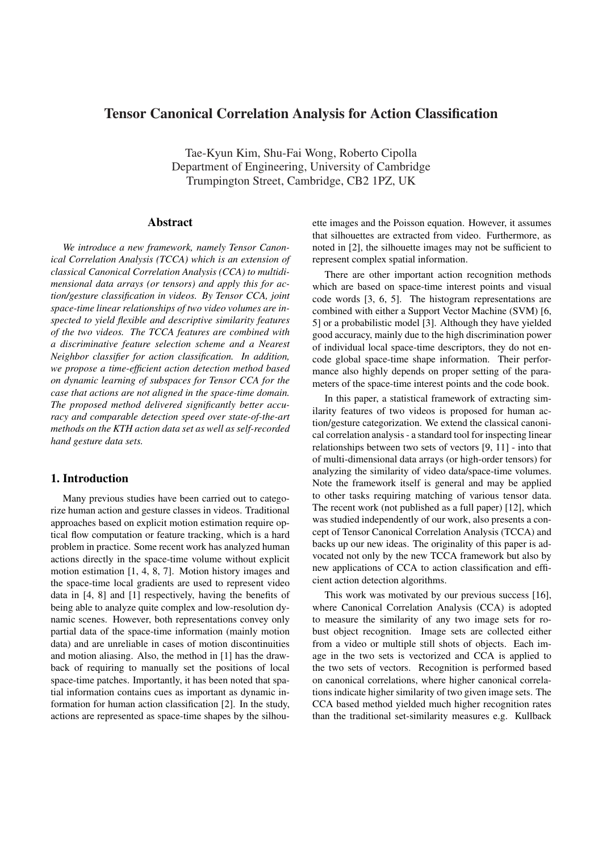# Tensor Canonical Correlation Analysis for Action Classification

Tae-Kyun Kim, Shu-Fai Wong, Roberto Cipolla Department of Engineering, University of Cambridge Trumpington Street, Cambridge, CB2 1PZ, UK

#### Abstract

*We introduce a new framework, namely Tensor Canonical Correlation Analysis (TCCA) which is an extension of classical Canonical Correlation Analysis (CCA) to multidimensional data arrays (or tensors) and apply this for action/gesture classification in videos. By Tensor CCA, joint space-time linear relationships of two video volumes are inspected to yield flexible and descriptive similarity features of the two videos. The TCCA features are combined with a discriminative feature selection scheme and a Nearest Neighbor classifier for action classification. In addition, we propose a time-efficient action detection method based on dynamic learning of subspaces for Tensor CCA for the case that actions are not aligned in the space-time domain. The proposed method delivered significantly better accuracy and comparable detection speed over state-of-the-art methods on the KTH action data set as well as self-recorded hand gesture data sets.*

# 1. Introduction

Many previous studies have been carried out to categorize human action and gesture classes in videos. Traditional approaches based on explicit motion estimation require optical flow computation or feature tracking, which is a hard problem in practice. Some recent work has analyzed human actions directly in the space-time volume without explicit motion estimation [1, 4, 8, 7]. Motion history images and the space-time local gradients are used to represent video data in [4, 8] and [1] respectively, having the benefits of being able to analyze quite complex and low-resolution dynamic scenes. However, both representations convey only partial data of the space-time information (mainly motion data) and are unreliable in cases of motion discontinuities and motion aliasing. Also, the method in [1] has the drawback of requiring to manually set the positions of local space-time patches. Importantly, it has been noted that spatial information contains cues as important as dynamic information for human action classification [2]. In the study, actions are represented as space-time shapes by the silhouette images and the Poisson equation. However, it assumes that silhouettes are extracted from video. Furthermore, as noted in [2], the silhouette images may not be sufficient to represent complex spatial information.

There are other important action recognition methods which are based on space-time interest points and visual code words [3, 6, 5]. The histogram representations are combined with either a Support Vector Machine (SVM) [6, 5] or a probabilistic model [3]. Although they have yielded good accuracy, mainly due to the high discrimination power of individual local space-time descriptors, they do not encode global space-time shape information. Their performance also highly depends on proper setting of the parameters of the space-time interest points and the code book.

In this paper, a statistical framework of extracting similarity features of two videos is proposed for human action/gesture categorization. We extend the classical canonical correlation analysis - a standard tool for inspecting linear relationships between two sets of vectors [9, 11] - into that of multi-dimensional data arrays (or high-order tensors) for analyzing the similarity of video data/space-time volumes. Note the framework itself is general and may be applied to other tasks requiring matching of various tensor data. The recent work (not published as a full paper) [12], which was studied independently of our work, also presents a concept of Tensor Canonical Correlation Analysis (TCCA) and backs up our new ideas. The originality of this paper is advocated not only by the new TCCA framework but also by new applications of CCA to action classification and efficient action detection algorithms.

This work was motivated by our previous success [16], where Canonical Correlation Analysis (CCA) is adopted to measure the similarity of any two image sets for robust object recognition. Image sets are collected either from a video or multiple still shots of objects. Each image in the two sets is vectorized and CCA is applied to the two sets of vectors. Recognition is performed based on canonical correlations, where higher canonical correlations indicate higher similarity of two given image sets. The CCA based method yielded much higher recognition rates than the traditional set-similarity measures e.g. Kullback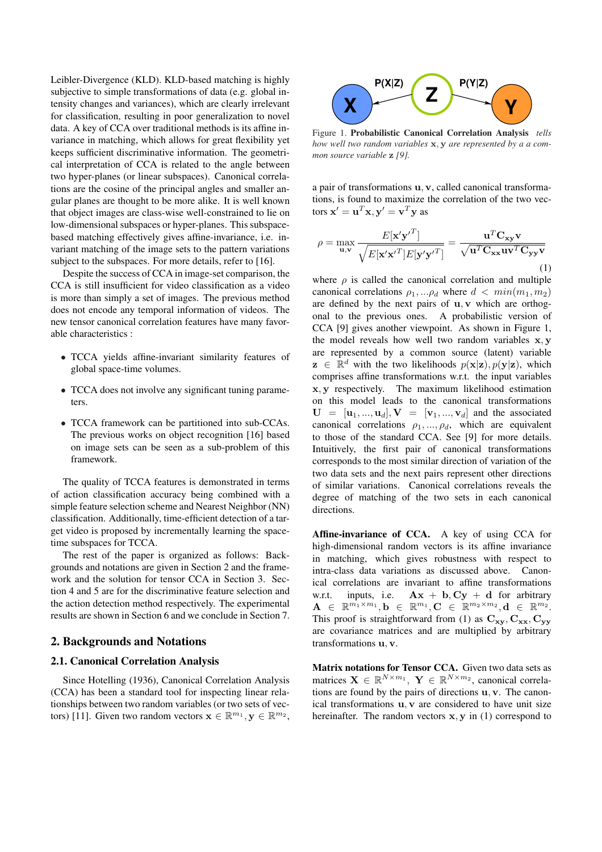Leibler-Divergence (KLD). KLD-based matching is highly subjective to simple transformations of data (e.g. global intensity changes and variances), which are clearly irrelevant for classification, resulting in poor generalization to novel data. A key of CCA over traditional methods is its affine invariance in matching, which allows for great flexibility yet keeps sufficient discriminative information. The geometrical interpretation of CCA is related to the angle between two hyper-planes (or linear subspaces). Canonical correlations are the cosine of the principal angles and smaller angular planes are thought to be more alike. It is well known that object images are class-wise well-constrained to lie on low-dimensional subspaces or hyper-planes. This subspacebased matching effectively gives affine-invariance, i.e. invariant matching of the image sets to the pattern variations subject to the subspaces. For more details, refer to [16].

Despite the success of CCA in image-set comparison, the CCA is still insufficient for video classification as a video is more than simply a set of images. The previous method does not encode any temporal information of videos. The new tensor canonical correlation features have many favorable characteristics :

- TCCA yields affine-invariant similarity features of global space-time volumes.
- TCCA does not involve any significant tuning parameters.
- TCCA framework can be partitioned into sub-CCAs. The previous works on object recognition [16] based on image sets can be seen as a sub-problem of this framework.

The quality of TCCA features is demonstrated in terms of action classification accuracy being combined with a simple feature selection scheme and Nearest Neighbor (NN) classification. Additionally, time-efficient detection of a target video is proposed by incrementally learning the spacetime subspaces for TCCA.

The rest of the paper is organized as follows: Backgrounds and notations are given in Section 2 and the framework and the solution for tensor CCA in Section 3. Section 4 and 5 are for the discriminative feature selection and the action detection method respectively. The experimental results are shown in Section 6 and we conclude in Section 7.

#### 2. Backgrounds and Notations

## 2.1. Canonical Correlation Analysis

Since Hotelling (1936), Canonical Correlation Analysis (CCA) has been a standard tool for inspecting linear relationships between two random variables (or two sets of vectors) [11]. Given two random vectors  $\mathbf{x} \in \mathbb{R}^{m_1}, \mathbf{y} \in \mathbb{R}^{m_2}$ ,



Figure 1. Probabilistic Canonical Correlation Analysis *tells how well two random variables* x, y *are represented by a a common source variable* z *[9].*

a pair of transformations u, v, called canonical transformations, is found to maximize the correlation of the two vectors  $\mathbf{x}' = \mathbf{u}^T \mathbf{x}, \mathbf{y}' = \mathbf{v}^T \mathbf{y}$  as

$$
\rho = \max_{\mathbf{u}, \mathbf{v}} \frac{E[\mathbf{x}' \mathbf{y}'^T]}{\sqrt{E[\mathbf{x}' \mathbf{x}'^T] E[\mathbf{y}' \mathbf{y}'^T]}} = \frac{\mathbf{u}^T \mathbf{C}_{\mathbf{x} \mathbf{y}} \mathbf{v}}{\sqrt{\mathbf{u}^T \mathbf{C}_{\mathbf{x} \mathbf{x}} \mathbf{u} \mathbf{v}^T \mathbf{C}_{\mathbf{y} \mathbf{y}} \mathbf{v}}}
$$
(1)

where  $\rho$  is called the canonical correlation and multiple canonical correlations  $\rho_1,...\rho_d$  where  $d < min(m_1,m_2)$ are defined by the next pairs of  $u$ ,  $v$  which are orthogonal to the previous ones. A probabilistic version of CCA [9] gives another viewpoint. As shown in Figure 1, the model reveals how well two random variables x, y are represented by a common source (latent) variable  $\mathbf{z} \in \mathbb{R}^d$  with the two likelihoods  $p(\mathbf{x}|\mathbf{z}), p(\mathbf{y}|\mathbf{z})$ , which comprises affine transformations w.r.t. the input variables x, y respectively. The maximum likelihood estimation on this model leads to the canonical transformations  $\mathbf{U} = [\mathbf{u}_1, ..., \mathbf{u}_d], \mathbf{V} = [\mathbf{v}_1, ..., \mathbf{v}_d]$  and the associated canonical correlations  $\rho_1, \ldots, \rho_d$ , which are equivalent to those of the standard CCA. See [9] for more details. Intuitively, the first pair of canonical transformations corresponds to the most similar direction of variation of the two data sets and the next pairs represent other directions of similar variations. Canonical correlations reveals the degree of matching of the two sets in each canonical directions.

Affine-invariance of CCA. A key of using CCA for high-dimensional random vectors is its affine invariance in matching, which gives robustness with respect to intra-class data variations as discussed above. Canonical correlations are invariant to affine transformations w.r.t. inputs, i.e.  $Ax + b, Cy + d$  for arbitrary  $\mathbf{A} \;\in\; \mathbb{R}^{m_1 \times m_1}, \mathbf{b} \;\in\; \mathbb{R}^{m_1}, \mathbf{C} \;\in\; \mathbb{R}^{m_2 \times m_2}, \mathbf{d} \;\in\; \mathbb{R}^{m_2}.$ This proof is straightforward from (1) as  $C_{xy}$ ,  $C_{xx}$ ,  $C_{yy}$ are covariance matrices and are multiplied by arbitrary transformations u, v.

Matrix notations for Tensor CCA. Given two data sets as matrices  $\mathbf{X} \in \mathbb{R}^{N \times m_1}$ ,  $\mathbf{Y} \in \mathbb{R}^{N \times m_2}$ , canonical correlations are found by the pairs of directions u, v. The canonical transformations u, v are considered to have unit size hereinafter. The random vectors  $x, y$  in (1) correspond to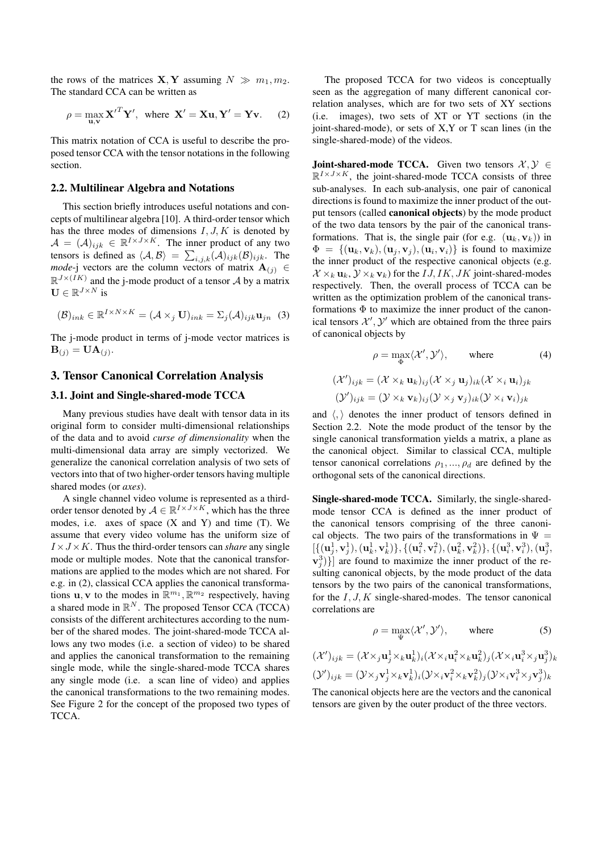the rows of the matrices  $X, Y$  assuming  $N \gg m_1, m_2$ . The standard CCA can be written as

$$
\rho = \max_{\mathbf{u}, \mathbf{v}} {\mathbf{X}'}^T \mathbf{Y}', \text{ where } \mathbf{X}' = \mathbf{X}\mathbf{u}, \mathbf{Y}' = \mathbf{Y}\mathbf{v}. \tag{2}
$$

This matrix notation of CCA is useful to describe the proposed tensor CCA with the tensor notations in the following section.

#### 2.2. Multilinear Algebra and Notations

This section briefly introduces useful notations and concepts of multilinear algebra [10]. A third-order tensor which has the three modes of dimensions  $I, J, K$  is denoted by  $\mathcal{A} = (\mathcal{A})_{ijk} \in \mathbb{R}^{I \times J \times K}$ . The inner product of any two tensors is defined as  $\langle A, B \rangle = \sum_{i,j,k} (A)_{ijk} (B)_{ijk}$ . The *mode*-j vectors are the column vectors of matrix  $\mathbf{A}_{(j)} \in$  $\mathbb{R}^{J \times (IK)}$  and the j-mode product of a tensor A by a matrix  $\mathbf{U} \in \mathbb{R}^{J \times N}$  is

$$
(\mathcal{B})_{ink} \in \mathbb{R}^{I \times N \times K} = (\mathcal{A} \times_j \mathbf{U})_{ink} = \Sigma_j(\mathcal{A})_{ijk} \mathbf{u}_{jn} \tag{3}
$$

The j-mode product in terms of j-mode vector matrices is  $\mathbf{B}_{(j)} = \mathbf{U}\mathbf{A}_{(j)}$ .

# 3. Tensor Canonical Correlation Analysis

# 3.1. Joint and Single-shared-mode TCCA

Many previous studies have dealt with tensor data in its original form to consider multi-dimensional relationships of the data and to avoid *curse of dimensionality* when the multi-dimensional data array are simply vectorized. We generalize the canonical correlation analysis of two sets of vectors into that of two higher-order tensors having multiple shared modes (or *axes*).

A single channel video volume is represented as a thirdorder tensor denoted by  $A \in \mathbb{R}^{I \times J \times K}$ , which has the three modes, i.e. axes of space  $(X \text{ and } Y)$  and time  $(T)$ . We assume that every video volume has the uniform size of  $I \times J \times K$ . Thus the third-order tensors can *share* any single mode or multiple modes. Note that the canonical transformations are applied to the modes which are not shared. For e.g. in (2), classical CCA applies the canonical transformations **u**, **v** to the modes in  $\mathbb{R}^{m_1}, \mathbb{R}^{m_2}$  respectively, having a shared mode in  $\mathbb{R}^N$ . The proposed Tensor CCA (TCCA) consists of the different architectures according to the number of the shared modes. The joint-shared-mode TCCA allows any two modes (i.e. a section of video) to be shared and applies the canonical transformation to the remaining single mode, while the single-shared-mode TCCA shares any single mode (i.e. a scan line of video) and applies the canonical transformations to the two remaining modes. See Figure 2 for the concept of the proposed two types of TCCA.

The proposed TCCA for two videos is conceptually seen as the aggregation of many different canonical correlation analyses, which are for two sets of XY sections (i.e. images), two sets of XT or YT sections (in the joint-shared-mode), or sets of X,Y or T scan lines (in the single-shared-mode) of the videos.

**Joint-shared-mode TCCA.** Given two tensors  $X, Y \in$  $\mathbb{R}^{I \times J \times K}$ , the joint-shared-mode TCCA consists of three sub-analyses. In each sub-analysis, one pair of canonical directions is found to maximize the inner product of the output tensors (called canonical objects) by the mode product of the two data tensors by the pair of the canonical transformations. That is, the single pair (for e.g.  $(\mathbf{u}_k, \mathbf{v}_k)$ ) in  $\Phi = \{(\mathbf{u}_k, \mathbf{v}_k), (\mathbf{u}_j, \mathbf{v}_j), (\mathbf{u}_i, \mathbf{v}_i)\}\$ is found to maximize the inner product of the respective canonical objects (e.g.  $X \times_k \mathbf{u}_k$ ,  $Y \times_k \mathbf{v}_k$ ) for the *IJ*, *IK*, *JK* joint-shared-modes respectively. Then, the overall process of TCCA can be written as the optimization problem of the canonical transformations  $\Phi$  to maximize the inner product of the canonical tensors  $\mathcal{X}', \mathcal{Y}'$  which are obtained from the three pairs of canonical objects by

$$
\rho = \max_{\Phi} \langle \mathcal{X}', \mathcal{Y}' \rangle, \quad \text{where} \quad (4)
$$

$$
(\mathcal{X}')_{ijk} = (\mathcal{X} \times_k \mathbf{u}_k)_{ij} (\mathcal{X} \times_j \mathbf{u}_j)_{ik} (\mathcal{X} \times_i \mathbf{u}_i)_{jk}
$$

$$
(\mathcal{Y}')_{ijk} = (\mathcal{Y} \times_k \mathbf{v}_k)_{ij} (\mathcal{Y} \times_j \mathbf{v}_j)_{ik} (\mathcal{Y} \times_i \mathbf{v}_i)_{jk}
$$

and  $\langle \cdot, \rangle$  denotes the inner product of tensors defined in Section 2.2. Note the mode product of the tensor by the single canonical transformation yields a matrix, a plane as the canonical object. Similar to classical CCA, multiple tensor canonical correlations  $\rho_1, ..., \rho_d$  are defined by the orthogonal sets of the canonical directions.

Single-shared-mode TCCA. Similarly, the single-sharedmode tensor CCA is defined as the inner product of the canonical tensors comprising of the three canonical objects. The two pairs of the transformations in  $\Psi =$  $[\{({\bf u}_j^1,{\bf v}_j^1),({\bf u}_k^1,{\bf v}_k^1)\},\{({\bf u}_i^2,{\bf v}_i^2),({\bf u}_k^2,{\bf v}_k^2)\},\{({\bf u}_i^3,{\bf v}_i^3),({\bf u}_j^3,$  $\{(\mathbf{v}_j^3)\}\]$  are found to maximize the inner product of the resulting canonical objects, by the mode product of the data tensors by the two pairs of the canonical transformations, for the  $I, J, K$  single-shared-modes. The tensor canonical correlations are

$$
\rho = \max_{\Psi} \langle \mathcal{X}', \mathcal{Y}' \rangle, \quad \text{where} \quad (5)
$$

$$
(\mathcal{X}')_{ijk} = (\mathcal{X} \times_j \mathbf{u}_j^1 \times_k \mathbf{u}_k^1)_i (\mathcal{X} \times_i \mathbf{u}_i^2 \times_k \mathbf{u}_k^2)_j (\mathcal{X} \times_i \mathbf{u}_i^3 \times_j \mathbf{u}_j^3)_k
$$
  

$$
(\mathcal{Y}')_{ijk} = (\mathcal{Y} \times_j \mathbf{v}_j^1 \times_k \mathbf{v}_k^1)_i (\mathcal{Y} \times_i \mathbf{v}_i^2 \times_k \mathbf{v}_k^2)_j (\mathcal{Y} \times_i \mathbf{v}_i^3 \times_j \mathbf{v}_j^3)_k
$$

The canonical objects here are the vectors and the canonical tensors are given by the outer product of the three vectors.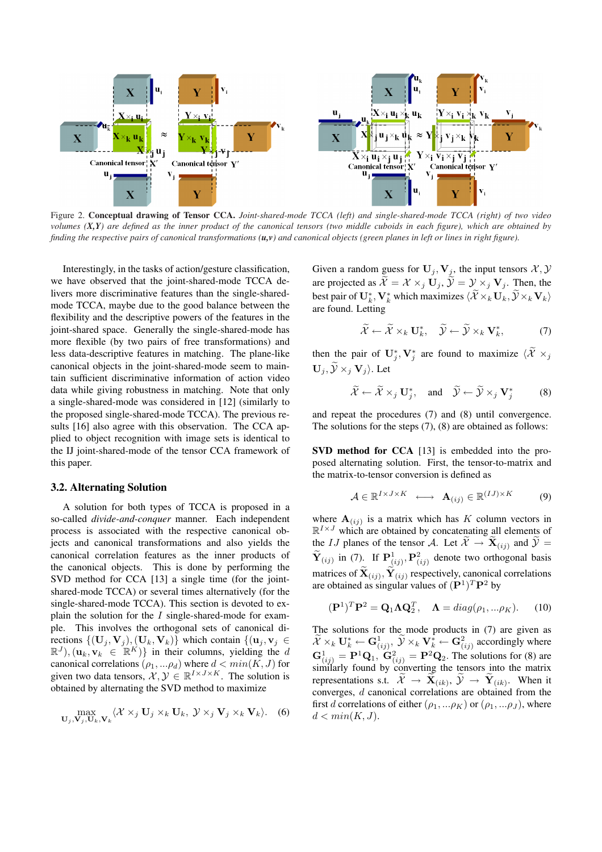

Figure 2. Conceptual drawing of Tensor CCA. *Joint-shared-mode TCCA (left) and single-shared-mode TCCA (right) of two video volumes (X,Y) are defined as the inner product of the canonical tensors (two middle cuboids in each figure), which are obtained by finding the respective pairs of canonical transformations (u,v) and canonical objects (green planes in left or lines in right figure).*

Interestingly, in the tasks of action/gesture classification, we have observed that the joint-shared-mode TCCA delivers more discriminative features than the single-sharedmode TCCA, maybe due to the good balance between the flexibility and the descriptive powers of the features in the joint-shared space. Generally the single-shared-mode has more flexible (by two pairs of free transformations) and less data-descriptive features in matching. The plane-like canonical objects in the joint-shared-mode seem to maintain sufficient discriminative information of action video data while giving robustness in matching. Note that only a single-shared-mode was considered in [12] (similarly to the proposed single-shared-mode TCCA). The previous results [16] also agree with this observation. The CCA applied to object recognition with image sets is identical to the IJ joint-shared-mode of the tensor CCA framework of this paper.

#### 3.2. Alternating Solution

A solution for both types of TCCA is proposed in a so-called *divide-and-conquer* manner. Each independent process is associated with the respective canonical objects and canonical transformations and also yields the canonical correlation features as the inner products of the canonical objects. This is done by performing the SVD method for CCA [13] a single time (for the jointshared-mode TCCA) or several times alternatively (for the single-shared-mode TCCA). This section is devoted to explain the solution for the  $I$  single-shared-mode for example. This involves the orthogonal sets of canonical directions  $\{(\mathbf{U}_j, \mathbf{V}_j),(\mathbf{U}_k, \mathbf{V}_k)\}\$  which contain  $\{(\mathbf{u}_j, \mathbf{v}_j) \in$  $(\mathbb{R}^J), (\mathbf{u}_k, \mathbf{v}_k \in [\mathbb{R}^K])$  in their columns, yielding the d canonical correlations  $(\rho_1,...\rho_d)$  where  $d < min(K, J)$  for given two data tensors,  $\mathcal{X}, \mathcal{Y} \in \mathbb{R}^{I \times J \times K}$ . The solution is obtained by alternating the SVD method to maximize

$$
\max_{\mathbf{U}_{j},\mathbf{V}_{j},\mathbf{U}_{k},\mathbf{V}_{k}}\langle \mathcal{X} \times_{j} \mathbf{U}_{j} \times_{k} \mathbf{U}_{k}, \ \mathcal{Y} \times_{j} \mathbf{V}_{j} \times_{k} \mathbf{V}_{k} \rangle. \tag{6}
$$

Given a random guess for  $U_j$ ,  $V_j$ , the input tensors  $\mathcal{X}, \mathcal{Y}$ are projected as  $\widetilde{\mathcal{X}} = \mathcal{X} \times_i \mathbf{U}_i$ ,  $\widetilde{\mathcal{Y}} = \mathcal{Y} \times_i \mathbf{V}_i$ . Then, the best pair of  $\mathbf{U}_k^*,\mathbf{V}_k^*$  which maximizes  $\langle\widetilde{\mathcal{X}}\times_k\mathbf{U}_k,\widetilde{\mathcal{Y}}\times_k\mathbf{V}_k\rangle$ are found. Letting

$$
\widetilde{\mathcal{X}} \leftarrow \widetilde{\mathcal{X}} \times_k \mathbf{U}_k^*, \quad \widetilde{\mathcal{Y}} \leftarrow \widetilde{\mathcal{Y}} \times_k \mathbf{V}_k^*, \tag{7}
$$

then the pair of  $\mathbf{U}_j^*, \mathbf{V}_j^*$  are found to maximize  $\langle \widetilde{\mathcal{X}} \times_j \rangle$  $\mathbf{U}_i, \widetilde{\mathcal{Y}} \times_i \mathbf{V}_i$ . Let

$$
\widetilde{\mathcal{X}} \leftarrow \widetilde{\mathcal{X}} \times_j \mathbf{U}_j^*, \text{ and } \widetilde{\mathcal{Y}} \leftarrow \widetilde{\mathcal{Y}} \times_j \mathbf{V}_j^* \tag{8}
$$

and repeat the procedures (7) and (8) until convergence. The solutions for the steps (7), (8) are obtained as follows:

SVD method for CCA [13] is embedded into the proposed alternating solution. First, the tensor-to-matrix and the matrix-to-tensor conversion is defined as

$$
\mathcal{A} \in \mathbb{R}^{I \times J \times K} \longleftrightarrow \mathbf{A}_{(ij)} \in \mathbb{R}^{(IJ) \times K} \tag{9}
$$

where  $\mathbf{A}_{(ij)}$  is a matrix which has K column vectors in  $\mathbb{R}^{I \times J}$  which are obtained by concatenating all elements of the *IJ* planes of the tensor *A*. Let  $\mathcal{X} \to \mathbf{X}_{(ij)}$  and  $\mathcal{Y} =$  $\widetilde{\mathbf{Y}}_{(ij)}$  in (7). If  $\mathbf{P}^1_{(ij)}, \mathbf{P}^2_{(ij)}$  denote two orthogonal basis matrices of  $\mathbf{X}_{(ij)}$ ,  $\mathbf{Y}_{(ij)}$  respectively, canonical correlations are obtained as singular values of  $(\mathbf{P}^1)^T \mathbf{P}^2$  by

$$
(\mathbf{P}^1)^T \mathbf{P}^2 = \mathbf{Q}_1 \mathbf{\Lambda} \mathbf{Q}_2^T, \quad \mathbf{\Lambda} = diag(\rho_1, \dots \rho_K). \tag{10}
$$

The solutions for the mode products in (7) are given as  $\widetilde{\mathcal{X}}\times_k\mathbf{U}_k^*\leftarrow \mathbf{G}^1_{(ij)},\ \widetilde{\mathcal{Y}}\times_k\mathbf{V}_k^*\leftarrow \mathbf{G}^2_{(ij)}$  accordingly where  $G_{(ij)}^1 = P^1 Q_1$ ,  $G_{(ij)}^2 = P^2 Q_2$ . The solutions for (8) are similarly found by converting the tensors into the matrix representations s.t.  $\mathcal{X} \rightarrow \mathbf{X}_{(ik)}, \mathcal{Y} \rightarrow \mathbf{Y}_{(ik)}$ . When it converges, d canonical correlations are obtained from the first d correlations of either  $(\rho_1,...\rho_K)$  or  $(\rho_1,...\rho_J)$ , where  $d < min(K, J)$ .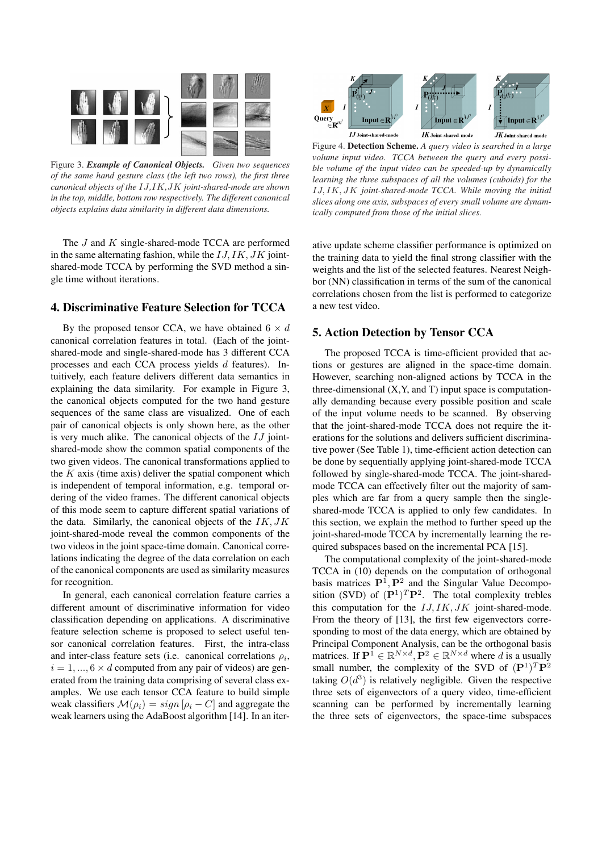

Figure 3. *Example of Canonical Objects. Given two sequences of the same hand gesture class (the left two rows), the first three canonical objects of the* IJ*,*IK*,*JK *joint-shared-mode are shown in the top, middle, bottom row respectively. The different canonical objects explains data similarity in different data dimensions.*

The J and K single-shared-mode TCCA are performed in the same alternating fashion, while the  $IJ,IK,JK$  jointshared-mode TCCA by performing the SVD method a single time without iterations.

# 4. Discriminative Feature Selection for TCCA

By the proposed tensor CCA, we have obtained  $6 \times d$ canonical correlation features in total. (Each of the jointshared-mode and single-shared-mode has 3 different CCA processes and each CCA process yields d features). Intuitively, each feature delivers different data semantics in explaining the data similarity. For example in Figure 3, the canonical objects computed for the two hand gesture sequences of the same class are visualized. One of each pair of canonical objects is only shown here, as the other is very much alike. The canonical objects of the  $IJ$  jointshared-mode show the common spatial components of the two given videos. The canonical transformations applied to the  $K$  axis (time axis) deliver the spatial component which is independent of temporal information, e.g. temporal ordering of the video frames. The different canonical objects of this mode seem to capture different spatial variations of the data. Similarly, the canonical objects of the  $IK,JK$ joint-shared-mode reveal the common components of the two videos in the joint space-time domain. Canonical correlations indicating the degree of the data correlation on each of the canonical components are used as similarity measures for recognition.

In general, each canonical correlation feature carries a different amount of discriminative information for video classification depending on applications. A discriminative feature selection scheme is proposed to select useful tensor canonical correlation features. First, the intra-class and inter-class feature sets (i.e. canonical correlations  $\rho_i$ ,  $i = 1, ..., 6 \times d$  computed from any pair of videos) are generated from the training data comprising of several class examples. We use each tensor CCA feature to build simple weak classifiers  $\mathcal{M}(\rho_i) = sign [\rho_i - C]$  and aggregate the weak learners using the AdaBoost algorithm [14]. In an iter-



Figure 4. Detection Scheme. *A query video is searched in a large volume input video. TCCA between the query and every possible volume of the input video can be speeded-up by dynamically learning the three subspaces of all the volumes (cuboids) for the* IJ, IK, JK *joint-shared-mode TCCA. While moving the initial slices along one axis, subspaces of every small volume are dynamically computed from those of the initial slices.*

ative update scheme classifier performance is optimized on the training data to yield the final strong classifier with the weights and the list of the selected features. Nearest Neighbor (NN) classification in terms of the sum of the canonical correlations chosen from the list is performed to categorize a new test video.

## 5. Action Detection by Tensor CCA

The proposed TCCA is time-efficient provided that actions or gestures are aligned in the space-time domain. However, searching non-aligned actions by TCCA in the three-dimensional  $(X, Y, \text{ and } T)$  input space is computationally demanding because every possible position and scale of the input volume needs to be scanned. By observing that the joint-shared-mode TCCA does not require the iterations for the solutions and delivers sufficient discriminative power (See Table 1), time-efficient action detection can be done by sequentially applying joint-shared-mode TCCA followed by single-shared-mode TCCA. The joint-sharedmode TCCA can effectively filter out the majority of samples which are far from a query sample then the singleshared-mode TCCA is applied to only few candidates. In this section, we explain the method to further speed up the joint-shared-mode TCCA by incrementally learning the required subspaces based on the incremental PCA [15].

The computational complexity of the joint-shared-mode TCCA in (10) depends on the computation of orthogonal basis matrices  $\mathbf{P}^1, \mathbf{P}^2$  and the Singular Value Decomposition (SVD) of  $(P^1)^T P^2$ . The total complexity trebles this computation for the  $IJ,IK,JK$  joint-shared-mode. From the theory of [13], the first few eigenvectors corresponding to most of the data energy, which are obtained by Principal Component Analysis, can be the orthogonal basis matrices. If  $\mathbf{P}^{\hat{1}} \in \mathbb{R}^{N \times d}$ ,  $\mathbf{P}^{\hat{2}} \in \mathbb{R}^{N \times d}$  where d is a usually small number, the complexity of the SVD of  $(\mathbf{P}^1)^T \mathbf{P}^2$ taking  $O(d^3)$  is relatively negligible. Given the respective three sets of eigenvectors of a query video, time-efficient scanning can be performed by incrementally learning the three sets of eigenvectors, the space-time subspaces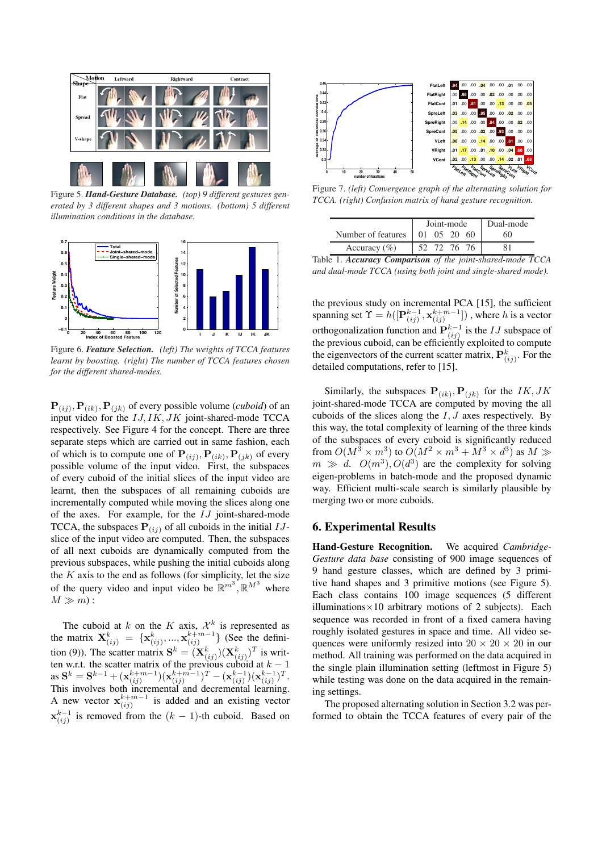

Figure 5. *Hand-Gesture Database. (top) 9 different gestures generated by 3 different shapes and 3 motions. (bottom) 5 different illumination conditions in the database.*



Figure 6. *Feature Selection. (left) The weights of TCCA features learnt by boosting. (right) The number of TCCA features chosen for the different shared-modes.*

 ${\bf P}_{(ij)}$ ,  ${\bf P}_{(ik)}$ ,  ${\bf P}_{(jk)}$  of every possible volume (*cuboid*) of an input video for the  $IJ,IK,JK$  joint-shared-mode TCCA respectively. See Figure 4 for the concept. There are three separate steps which are carried out in same fashion, each of which is to compute one of  ${\bf P}_{(ij)}, {\bf P}_{(ik)}, {\bf P}_{(jk)}$  of every possible volume of the input video. First, the subspaces of every cuboid of the initial slices of the input video are learnt, then the subspaces of all remaining cuboids are incrementally computed while moving the slices along one of the axes. For example, for the IJ joint-shared-mode TCCA, the subspaces  $P(i)$  of all cuboids in the initial  $IJ$ slice of the input video are computed. Then, the subspaces of all next cuboids are dynamically computed from the previous subspaces, while pushing the initial cuboids along the  $K$  axis to the end as follows (for simplicity, let the size of the query video and input video be  $\mathbb{R}^{m^3}$ ,  $\mathbb{R}^{M^3}$  where  $M \gg m$ :

The cuboid at k on the K axis,  $\mathcal{X}^k$  is represented as the matrix  $\mathbf{X}_{(ij)}^k = {\mathbf{x}_{(ij)}^k, ..., \mathbf{x}_{(ij)}^{k+m-1}}$  (See the definition (9)). The scatter matrix  $S^k = (\mathbf{X}^k_{(ij)})(\mathbf{X}^k_{(ij)})^T$  is written w.r.t. the scatter matrix of the previous cuboid at  $k - 1$ as  $\mathbf{S}^k = \mathbf{S}^{k-1} + (\mathbf{x}_{(ij)}^{k+m-1})(\mathbf{x}_{(ij)}^{k+m-1})^T - (\mathbf{x}_{(ij)}^{k-1})(\mathbf{x}_{(ij)}^{k-1})^T.$ This involves both incremental and decremental learning. A new vector  $\mathbf{x}_{(ij)}^{k+m-1}$  is added and an existing vector  $\mathbf{x}_{(ij)}^{k-1}$  is removed from the  $(k-1)$ -th cuboid. Based on



Figure 7. *(left) Convergence graph of the alternating solution for TCCA. (right) Confusion matrix of hand gesture recognition.*

|                                  | Joint-mode |          |  |  | Dual-mode |
|----------------------------------|------------|----------|--|--|-----------|
| Number of features   01 05 20 60 |            |          |  |  | 60        |
| Accuracy $(\% )$                 |            | 72 76 76 |  |  |           |

Table 1. *Accuracy Comparison of the joint-shared-mode TCCA and dual-mode TCCA (using both joint and single-shared mode).*

the previous study on incremental PCA [15], the sufficient spanning set  $\Upsilon = h([\mathbf{P}_{(ij)}^{k-1}, \mathbf{x}_{(ij)}^{k+m-1}])$ , where h is a vector orthogonalization function and  $\mathbf{P}_{(ij)}^{k-1}$  is the  $IJ$  subspace of the previous cuboid, can be efficiently exploited to compute the eigenvectors of the current scatter matrix,  $\mathbf{P}^k_{(ij)}$ . For the detailed computations, refer to [15].

Similarly, the subspaces  $P(i,k), P(jk)$  for the *IK*, *JK* joint-shared-mode TCCA are computed by moving the all cuboids of the slices along the  $I, J$  axes respectively. By this way, the total complexity of learning of the three kinds of the subspaces of every cuboid is significantly reduced from  $O(M^3 \times m^3)$  to  $O(M^2 \times m^3 + M^3 \times d^3)$  as  $M \gg$  $m \gg d$ .  $O(m^3)$ ,  $O(d^3)$  are the complexity for solving eigen-problems in batch-mode and the proposed dynamic way. Efficient multi-scale search is similarly plausible by merging two or more cuboids.

#### 6. Experimental Results

Hand-Gesture Recognition. We acquired *Cambridge-Gesture data base* consisting of 900 image sequences of 9 hand gesture classes, which are defined by 3 primitive hand shapes and 3 primitive motions (see Figure 5). Each class contains 100 image sequences (5 different illuminations $\times$ 10 arbitrary motions of 2 subjects). Each sequence was recorded in front of a fixed camera having roughly isolated gestures in space and time. All video sequences were uniformly resized into  $20 \times 20 \times 20$  in our method. All training was performed on the data acquired in the single plain illumination setting (leftmost in Figure 5) while testing was done on the data acquired in the remaining settings.

The proposed alternating solution in Section 3.2 was performed to obtain the TCCA features of every pair of the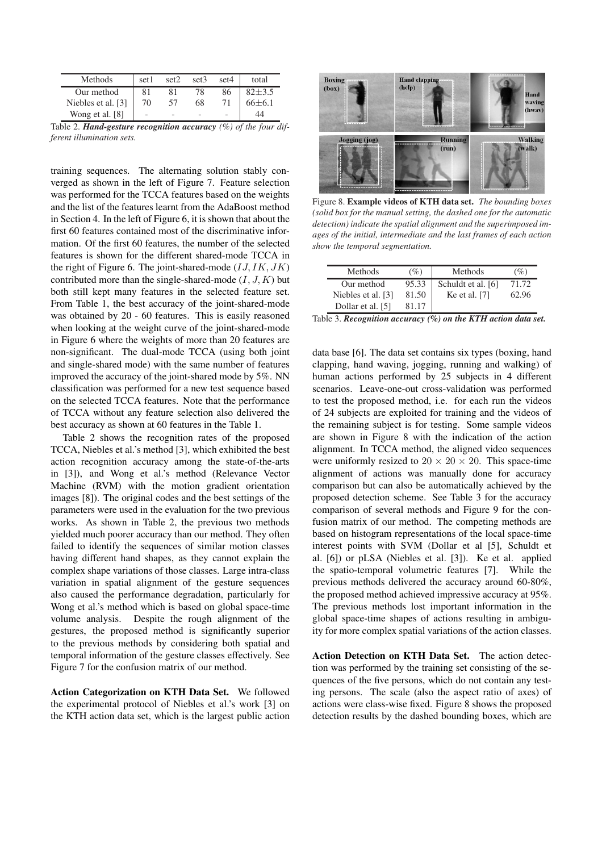| Methods            | set1 | set <sub>2</sub> | set3 | set4 | total       |
|--------------------|------|------------------|------|------|-------------|
| Our method         |      | 81               | 78   | 86   | $82 + 3.5$  |
| Niebles et al. [3] | 70   | 57               | 68   |      | $66\pm 6.1$ |
| Wong et al. [8]    |      |                  |      |      |             |

Table 2. *Hand-gesture recognition accuracy (%) of the four different illumination sets.*

training sequences. The alternating solution stably converged as shown in the left of Figure 7. Feature selection was performed for the TCCA features based on the weights and the list of the features learnt from the AdaBoost method in Section 4. In the left of Figure 6, it is shown that about the first 60 features contained most of the discriminative information. Of the first 60 features, the number of the selected features is shown for the different shared-mode TCCA in the right of Figure 6. The joint-shared-mode  $(IJ,IK,JK)$ contributed more than the single-shared-mode  $(I, J, K)$  but both still kept many features in the selected feature set. From Table 1, the best accuracy of the joint-shared-mode was obtained by 20 - 60 features. This is easily reasoned when looking at the weight curve of the joint-shared-mode in Figure 6 where the weights of more than 20 features are non-significant. The dual-mode TCCA (using both joint and single-shared mode) with the same number of features improved the accuracy of the joint-shared mode by 5%. NN classification was performed for a new test sequence based on the selected TCCA features. Note that the performance of TCCA without any feature selection also delivered the best accuracy as shown at 60 features in the Table 1.

Table 2 shows the recognition rates of the proposed TCCA, Niebles et al.'s method [3], which exhibited the best action recognition accuracy among the state-of-the-arts in [3]), and Wong et al.'s method (Relevance Vector Machine (RVM) with the motion gradient orientation images [8]). The original codes and the best settings of the parameters were used in the evaluation for the two previous works. As shown in Table 2, the previous two methods yielded much poorer accuracy than our method. They often failed to identify the sequences of similar motion classes having different hand shapes, as they cannot explain the complex shape variations of those classes. Large intra-class variation in spatial alignment of the gesture sequences also caused the performance degradation, particularly for Wong et al.'s method which is based on global space-time volume analysis. Despite the rough alignment of the gestures, the proposed method is significantly superior to the previous methods by considering both spatial and temporal information of the gesture classes effectively. See Figure 7 for the confusion matrix of our method.

Action Categorization on KTH Data Set. We followed the experimental protocol of Niebles et al.'s work [3] on the KTH action data set, which is the largest public action



Figure 8. Example videos of KTH data set. *The bounding boxes (solid box for the manual setting, the dashed one for the automatic detection) indicate the spatial alignment and the superimposed images of the initial, intermediate and the last frames of each action show the temporal segmentation.*

| <b>Methods</b>     | (%)   | <b>Methods</b>     | $\%$  |
|--------------------|-------|--------------------|-------|
| Our method         | 95.33 | Schuldt et al. [6] | 71.72 |
| Niebles et al. [3] | 81.50 | Ke et al. [7]      | 62.96 |
| Dollar et al. [5]  | 81 17 |                    |       |

Table 3. *Recognition accuracy (%) on the KTH action data set.*

data base [6]. The data set contains six types (boxing, hand clapping, hand waving, jogging, running and walking) of human actions performed by 25 subjects in 4 different scenarios. Leave-one-out cross-validation was performed to test the proposed method, i.e. for each run the videos of 24 subjects are exploited for training and the videos of the remaining subject is for testing. Some sample videos are shown in Figure 8 with the indication of the action alignment. In TCCA method, the aligned video sequences were uniformly resized to  $20 \times 20 \times 20$ . This space-time alignment of actions was manually done for accuracy comparison but can also be automatically achieved by the proposed detection scheme. See Table 3 for the accuracy comparison of several methods and Figure 9 for the confusion matrix of our method. The competing methods are based on histogram representations of the local space-time interest points with SVM (Dollar et al [5], Schuldt et al. [6]) or pLSA (Niebles et al. [3]). Ke et al. applied the spatio-temporal volumetric features [7]. While the previous methods delivered the accuracy around 60-80%, the proposed method achieved impressive accuracy at 95%. The previous methods lost important information in the global space-time shapes of actions resulting in ambiguity for more complex spatial variations of the action classes.

Action Detection on KTH Data Set. The action detection was performed by the training set consisting of the sequences of the five persons, which do not contain any testing persons. The scale (also the aspect ratio of axes) of actions were class-wise fixed. Figure 8 shows the proposed detection results by the dashed bounding boxes, which are